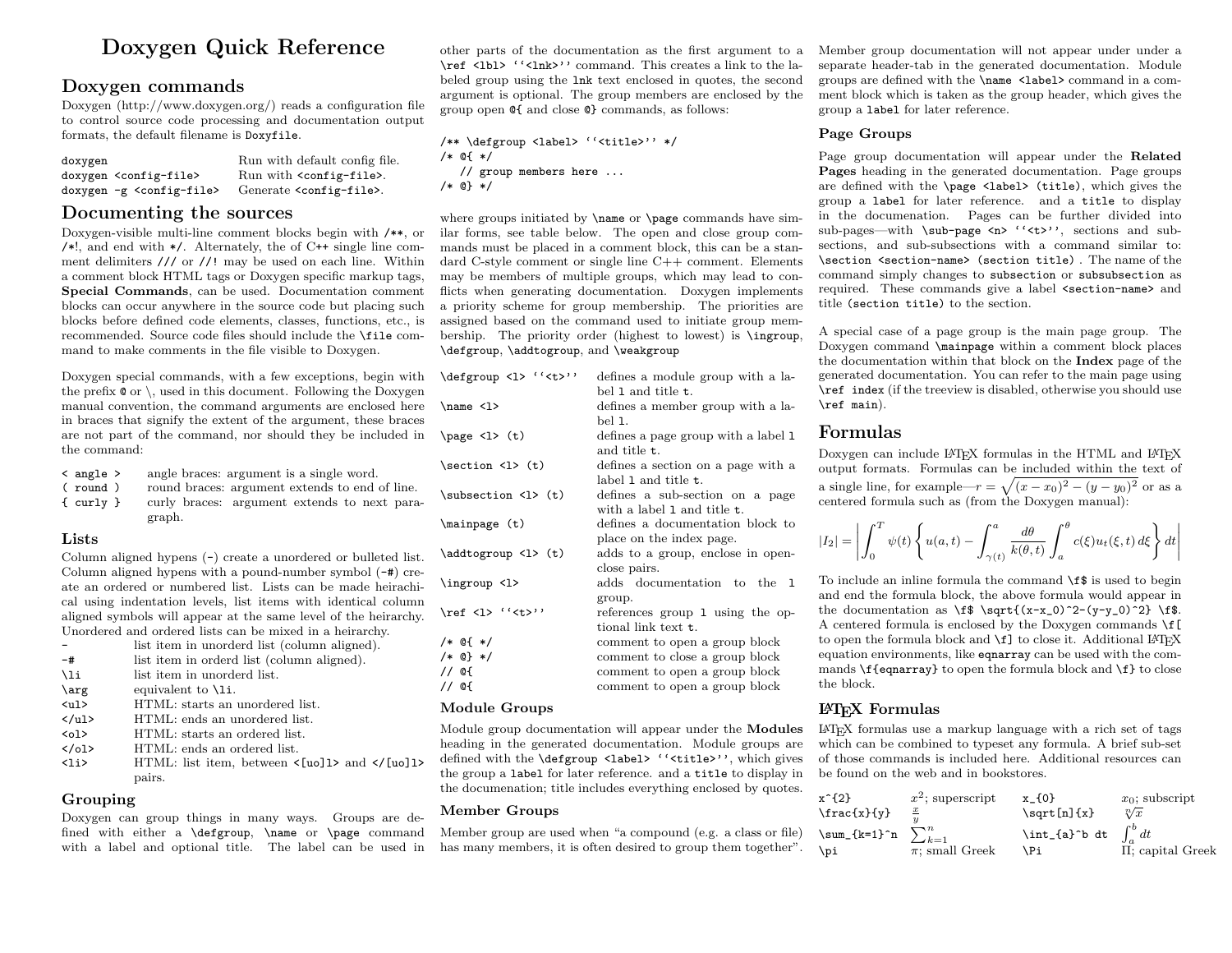# Doxygen Quick Reference

### Doxygen commands

Doxygen (http://www.doxygen.org/) reads a configuration file to control source code processing and documentation output formats, the default filename is Doxyfile.

| doxygen                                | Run with default config file.         |
|----------------------------------------|---------------------------------------|
| doxygen <config-file></config-file>    | Run with <config-file>.</config-file> |
| doxygen -g <config-file></config-file> | Generate <config-file>.</config-file> |

### Documenting the sources

Doxygen-visible multi-line comment blocks begin with /\*\*, or  $/*!$ , and end with  $*/$ . Alternately, the of C++ single line comment delimiters /// or //! may be used on each line. Within a comment block HTML tags or Doxygen specific markup tags, Special Commands, can be used. Documentation comment blocks can occur anywhere in the source code but placing such blocks before defined code elements, classes, functions, etc., is recommended. Source code files should include the \file command to make comments in the file visible to Doxygen.

Doxygen special commands, with a few exceptions, begin with the prefix  $\mathbf{\circ}$  or  $\setminus$ , used in this document. Following the Doxygen manual convention, the command arguments are enclosed here in braces that signify the extent of the argument, these braces are not part of the command, nor should they be included in  $\pa$ the command:

|  | $\langle$ angle $\rangle$ |  |  |  | angle braces: argument is a single word. |  |  |  |
|--|---------------------------|--|--|--|------------------------------------------|--|--|--|
|--|---------------------------|--|--|--|------------------------------------------|--|--|--|

( round ) round braces: argument extends to end of line. { curly } curly braces: argument extends to next paragraph.

#### Lists

Column aligned hypens (-) create a unordered or bulleted list. Column aligned hypens with a pound-number symbol (-#) create an ordered or numbered list. Lists can be made heirachical using indentation levels, list items with identical column aligned symbols will appear at the same level of the heirarchy. Unordered and ordered lists can be mixed in a heirarchy.

|                | list item in unorderd list (column aligned).                                             |
|----------------|------------------------------------------------------------------------------------------|
| $-#$           | list item in orderd list (column aligned).                                               |
| \li            | list item in unorderd list.                                                              |
| \arg           | equivalent to $\lambda$ i.                                                               |
| $\langle$ ul>  | HTML: starts an unordered list.                                                          |
| $\langle$ /ul> | HTML: ends an unordered list.                                                            |
| $01>$          | HTML; starts an ordered list.                                                            |
| $\langle$ /ol> | HTML: ends an ordered list.                                                              |
| $\langle$ li>  | HTML: list item, between $\langle \text{[uo]} \rangle$ and $\langle \text{[uo]} \rangle$ |
|                | pairs.                                                                                   |

#### Grouping

Doxygen can group things in many ways. Groups are defined with either a \defgroup, \name or \page command with a label and optional title. The label can be used in other parts of the documentation as the first argument to a \ref <lbl> ''<lnk>'' command. This creates a link to the labeled group using the lnk text enclosed in quotes, the second argument is optional. The group members are enclosed by the group open @{ and close @} commands, as follows:

/\*\* \defgroup <label> ''<title>'' \*/ /\* @{ \*/ // group members here ... /\* @} \*/

where groups initiated by  $\name$  or  $\page$  commands have similar forms, see table below. The open and close group commands must be placed in a comment block, this can be a standard C-style comment or single line C++ comment. Elements may be members of multiple groups, which may lead to conflicts when generating documentation. Doxygen implements a priority scheme for group membership. The priorities are assigned based on the command used to initiate group membership. The priority order (highest to lowest) is \ingroup, \defgroup, \addtogroup, and \weakgroup

| \defgroup <1> '' <t>''</t>                 | defines a module group with a la-   |
|--------------------------------------------|-------------------------------------|
|                                            | bel 1 and title t.                  |
| $\name$ <1>                                | defines a member group with a la-   |
|                                            | hel 1.                              |
| $\page{2} (t)$                             | defines a page group with a label 1 |
|                                            | and title <b>t</b> .                |
| $\setminus$ section $\setminus$ 1> (t)     | defines a section on a page with a  |
|                                            | label 1 and title t.                |
| $\substack{\text{subsection} \\ \text{t}}$ | defines a sub-section on a page     |
|                                            | with a label 1 and title t.         |
| $\langle$ t)                               | defines a documentation block to    |
|                                            | place on the index page.            |
| \addtogroup <1> (t)                        | adds to a group, enclose in open-   |
|                                            | close pairs.                        |
| \ingroup <1>                               | adds documentation to the 1         |
|                                            | group.                              |
| $\ref$ <1> '' <t>''</t>                    | references group 1 using the op-    |
|                                            | tional link text t.                 |
| $/*$ @{ $*/$                               | comment to open a group block       |
| $/*$ @} */                                 | comment to close a group block      |
| // @{                                      | comment to open a group block       |
| // @{                                      | comment to open a group block       |
| <b>Module Groups</b>                       |                                     |

Module group documentation will appear under the Modules heading in the generated documentation. Module groups are defined with the \defgroup <label> ''<title>'', which gives the group a label for later reference. and a title to display in the documenation; title includes everything enclosed by quotes.

#### Member Groups

Member group are used when "a compound (e.g. a class or file) has many members, it is often desired to group them together". Member group documentation will not appear under under a separate header-tab in the generated documentation. Module groups are defined with the \name <label> command in a comment block which is taken as the group header, which gives the group a label for later reference.

#### Page Groups

Page group documentation will appear under the Related Pages heading in the generated documentation. Page groups are defined with the \page <label> (title), which gives the group a label for later reference. and a title to display in the documenation. Pages can be further divided into sub-pages—with \sub-page <n> ''<t>'', sections and subsections, and sub-subsections with a command similar to: \section <section-name> (section title) . The name of the command simply changes to subsection or subsubsection as required. These commands give a label <section-name> and title (section title) to the section.

A special case of a page group is the main page group. The Doxygen command \mainpage within a comment block places the documentation within that block on the Index page of the generated documentation. You can refer to the main page using \ref index (if the treeview is disabled, otherwise you should use \ref main).

### Formulas

Doxygen can include LATEX formulas in the HTML and LATEX output formats. Formulas can be included within the text of a single line, for example— $r = \sqrt{(x-x_0)^2 - (y-y_0)^2}$  or as a centered formula such as (from the Doxygen manual):

$$
|I_2| = \left| \int_0^T \psi(t) \left\{ u(a,t) - \int_{\gamma(t)}^a \frac{d\theta}{k(\theta,t)} \int_a^\theta c(\xi) u_t(\xi,t) d\xi \right\} dt \right|
$$

To include an inline formula the command \f\$ is used to begin and end the formula block, the above formula would appear in the documentation as  $\f{(x-x_0)^2-(y-y_0)^2} \ff.$ A centered formula is enclosed by the Doxygen commands  $\frown f$ to open the formula block and  $\fceil$  to close it. Additional LATEX equation environments, like eqnarray can be used with the commands  $\{eqnarray\}$  to open the formula block and  $\{f\}$  to close the block.

### LATEX Formulas

LATEX formulas use a markup language with a rich set of tags which can be combined to typeset any formula. A brief sub-set of those commands is included here. Additional resources can be found on the web and in bookstores.

| $x^{-2}$             | $x^2$ ; superscript    | $x_{0}$           | $x_{0}$ ; subscript |
|----------------------|------------------------|-------------------|---------------------|
| $\frac{x}{y}$        | $\frac{x}{y}$          | $\sqrt{x}$        |                     |
| $\sum_{k=1}^{n} x_k$ | $\int_{\alpha}^{b} dt$ |                   |                     |
| $\pi$ ; small Greek  | $\pi$                  | $\int_{a}^{b} dt$ |                     |